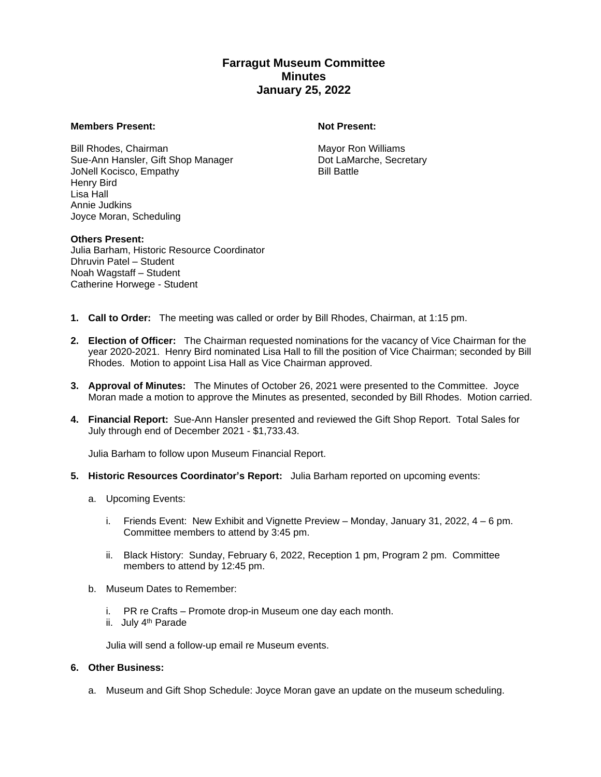# **Farragut Museum Committee Minutes January 25, 2022**

### **Members Present: Not Present:**

Bill Rhodes, Chairman Mayor Ron Williams Sue-Ann Hansler, Gift Shop Manager **Dot LaMarche, Secretary** JoNell Kocisco, Empathy Bill Battle Henry Bird Lisa Hall Annie Judkins Joyce Moran, Scheduling

### **Others Present:**

Julia Barham, Historic Resource Coordinator Dhruvin Patel – Student Noah Wagstaff – Student Catherine Horwege - Student

- **1. Call to Order:** The meeting was called or order by Bill Rhodes, Chairman, at 1:15 pm.
- **2. Election of Officer:** The Chairman requested nominations for the vacancy of Vice Chairman for the year 2020-2021. Henry Bird nominated Lisa Hall to fill the position of Vice Chairman; seconded by Bill Rhodes. Motion to appoint Lisa Hall as Vice Chairman approved.
- **3. Approval of Minutes:** The Minutes of October 26, 2021 were presented to the Committee. Joyce Moran made a motion to approve the Minutes as presented, seconded by Bill Rhodes. Motion carried.
- **4. Financial Report:** Sue-Ann Hansler presented and reviewed the Gift Shop Report. Total Sales for July through end of December 2021 - \$1,733.43.

Julia Barham to follow upon Museum Financial Report.

- **5. Historic Resources Coordinator's Report:** Julia Barham reported on upcoming events:
	- a. Upcoming Events:
		- i. Friends Event: New Exhibit and Vignette Preview Monday, January 31, 2022, 4 6 pm. Committee members to attend by 3:45 pm.
		- ii. Black History: Sunday, February 6, 2022, Reception 1 pm, Program 2 pm. Committee members to attend by 12:45 pm.
	- b. Museum Dates to Remember:
		- i. PR re Crafts Promote drop-in Museum one day each month.
		- ii. July 4<sup>th</sup> Parade

Julia will send a follow-up email re Museum events.

## **6. Other Business:**

a. Museum and Gift Shop Schedule: Joyce Moran gave an update on the museum scheduling.